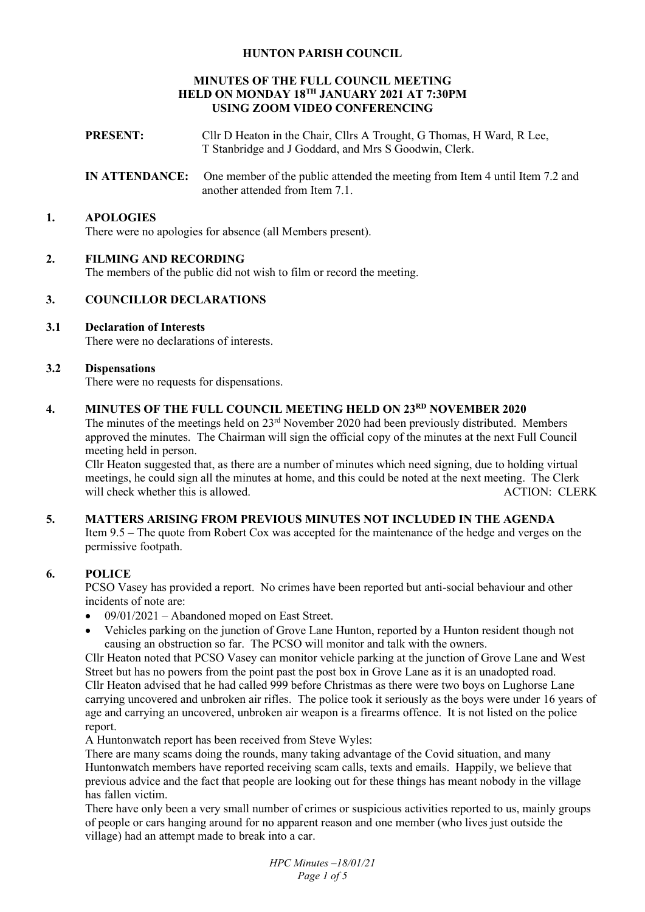## **HUNTON PARISH COUNCIL**

### **MINUTES OF THE FULL COUNCIL MEETING HELD ON MONDAY 18TH JANUARY 2021 AT 7:30PM USING ZOOM VIDEO CONFERENCING**

- **PRESENT:** Cllr D Heaton in the Chair, Cllrs A Trought, G Thomas, H Ward, R Lee, T Stanbridge and J Goddard, and Mrs S Goodwin, Clerk.
- **IN ATTENDANCE:** One member of the public attended the meeting from Item 4 until Item 7.2 and another attended from Item 7.1.

### **1. APOLOGIES**

There were no apologies for absence (all Members present).

## **2. FILMING AND RECORDING**

The members of the public did not wish to film or record the meeting.

## **3. COUNCILLOR DECLARATIONS**

## **3.1 Declaration of Interests**

There were no declarations of interests.

### **3.2 Dispensations**

There were no requests for dispensations.

# **4. MINUTES OF THE FULL COUNCIL MEETING HELD ON 23RD NOVEMBER 2020**

The minutes of the meetings held on 23rd November 2020 had been previously distributed. Members approved the minutes. The Chairman will sign the official copy of the minutes at the next Full Council meeting held in person.

Cllr Heaton suggested that, as there are a number of minutes which need signing, due to holding virtual meetings, he could sign all the minutes at home, and this could be noted at the next meeting. The Clerk will check whether this is allowed.

## **5. MATTERS ARISING FROM PREVIOUS MINUTES NOT INCLUDED IN THE AGENDA**

Item 9.5 – The quote from Robert Cox was accepted for the maintenance of the hedge and verges on the permissive footpath.

### **6. POLICE**

PCSO Vasey has provided a report. No crimes have been reported but anti-social behaviour and other incidents of note are:

- $\bullet$  09/01/2021 Abandoned moped on East Street.
- Vehicles parking on the junction of Grove Lane Hunton, reported by a Hunton resident though not causing an obstruction so far. The PCSO will monitor and talk with the owners.

Cllr Heaton noted that PCSO Vasey can monitor vehicle parking at the junction of Grove Lane and West Street but has no powers from the point past the post box in Grove Lane as it is an unadopted road. Cllr Heaton advised that he had called 999 before Christmas as there were two boys on Lughorse Lane carrying uncovered and unbroken air rifles. The police took it seriously as the boys were under 16 years of age and carrying an uncovered, unbroken air weapon is a firearms offence. It is not listed on the police report.

A Huntonwatch report has been received from Steve Wyles:

There are many scams doing the rounds, many taking advantage of the Covid situation, and many Huntonwatch members have reported receiving scam calls, texts and emails. Happily, we believe that previous advice and the fact that people are looking out for these things has meant nobody in the village has fallen victim.

There have only been a very small number of crimes or suspicious activities reported to us, mainly groups of people or cars hanging around for no apparent reason and one member (who lives just outside the village) had an attempt made to break into a car.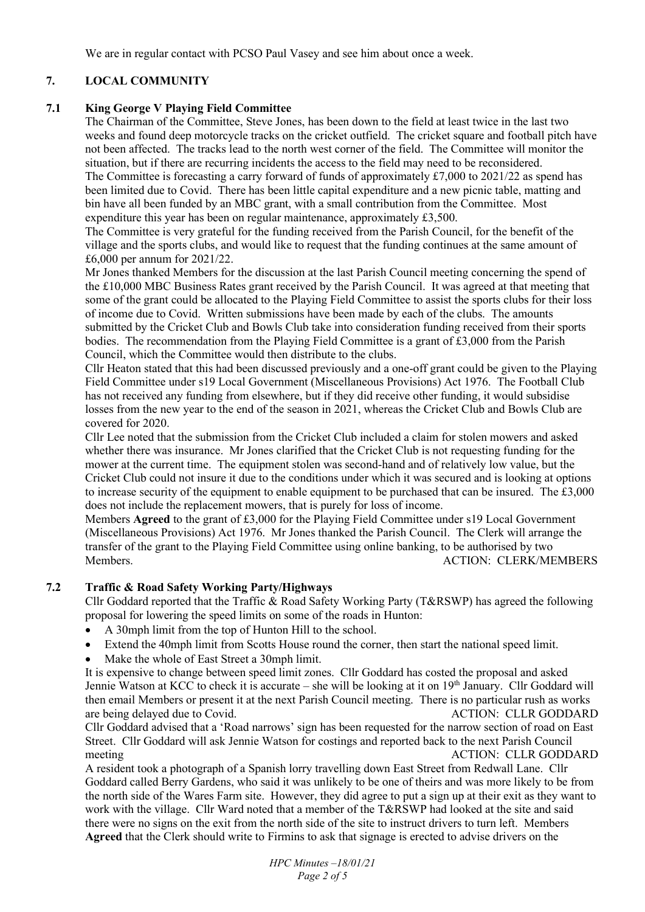We are in regular contact with PCSO Paul Vasey and see him about once a week.

# **7. LOCAL COMMUNITY**

## **7.1 King George V Playing Field Committee**

The Chairman of the Committee, Steve Jones, has been down to the field at least twice in the last two weeks and found deep motorcycle tracks on the cricket outfield. The cricket square and football pitch have not been affected. The tracks lead to the north west corner of the field. The Committee will monitor the situation, but if there are recurring incidents the access to the field may need to be reconsidered. The Committee is forecasting a carry forward of funds of approximately £7,000 to 2021/22 as spend has been limited due to Covid. There has been little capital expenditure and a new picnic table, matting and bin have all been funded by an MBC grant, with a small contribution from the Committee. Most expenditure this year has been on regular maintenance, approximately £3,500.

The Committee is very grateful for the funding received from the Parish Council, for the benefit of the village and the sports clubs, and would like to request that the funding continues at the same amount of £6,000 per annum for 2021/22.

Mr Jones thanked Members for the discussion at the last Parish Council meeting concerning the spend of the £10,000 MBC Business Rates grant received by the Parish Council. It was agreed at that meeting that some of the grant could be allocated to the Playing Field Committee to assist the sports clubs for their loss of income due to Covid. Written submissions have been made by each of the clubs. The amounts submitted by the Cricket Club and Bowls Club take into consideration funding received from their sports bodies. The recommendation from the Playing Field Committee is a grant of £3,000 from the Parish Council, which the Committee would then distribute to the clubs.

Cllr Heaton stated that this had been discussed previously and a one-off grant could be given to the Playing Field Committee under s19 Local Government (Miscellaneous Provisions) Act 1976. The Football Club has not received any funding from elsewhere, but if they did receive other funding, it would subsidise losses from the new year to the end of the season in 2021, whereas the Cricket Club and Bowls Club are covered for 2020.

Cllr Lee noted that the submission from the Cricket Club included a claim for stolen mowers and asked whether there was insurance. Mr Jones clarified that the Cricket Club is not requesting funding for the mower at the current time. The equipment stolen was second-hand and of relatively low value, but the Cricket Club could not insure it due to the conditions under which it was secured and is looking at options to increase security of the equipment to enable equipment to be purchased that can be insured. The £3,000 does not include the replacement mowers, that is purely for loss of income.

Members **Agreed** to the grant of £3,000 for the Playing Field Committee under s19 Local Government (Miscellaneous Provisions) Act 1976. Mr Jones thanked the Parish Council. The Clerk will arrange the transfer of the grant to the Playing Field Committee using online banking, to be authorised by two Members. ACTION: CLERK/MEMBERS

# **7.2 Traffic & Road Safety Working Party/Highways**

Cllr Goddard reported that the Traffic & Road Safety Working Party (T&RSWP) has agreed the following proposal for lowering the speed limits on some of the roads in Hunton:

- A 30mph limit from the top of Hunton Hill to the school.
- Extend the 40mph limit from Scotts House round the corner, then start the national speed limit.
- Make the whole of East Street a 30mph limit.

It is expensive to change between speed limit zones. Cllr Goddard has costed the proposal and asked Jennie Watson at KCC to check it is accurate – she will be looking at it on 19<sup>th</sup> January. Cllr Goddard will then email Members or present it at the next Parish Council meeting. There is no particular rush as works are being delayed due to Covid. ACTION: CLLR GODDARD

Cllr Goddard advised that a 'Road narrows' sign has been requested for the narrow section of road on East Street. Cllr Goddard will ask Jennie Watson for costings and reported back to the next Parish Council meeting ACTION: CLLR GODDARD

A resident took a photograph of a Spanish lorry travelling down East Street from Redwall Lane. Cllr Goddard called Berry Gardens, who said it was unlikely to be one of theirs and was more likely to be from the north side of the Wares Farm site. However, they did agree to put a sign up at their exit as they want to work with the village. Cllr Ward noted that a member of the T&RSWP had looked at the site and said there were no signs on the exit from the north side of the site to instruct drivers to turn left. Members **Agreed** that the Clerk should write to Firmins to ask that signage is erected to advise drivers on the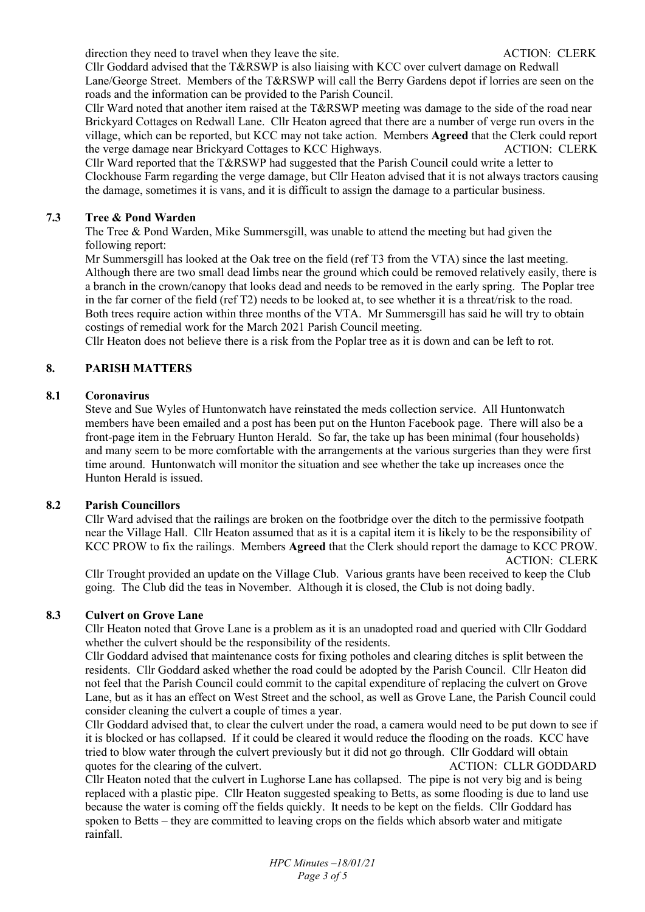direction they need to travel when they leave the site. ACTION: CLERK

Cllr Goddard advised that the T&RSWP is also liaising with KCC over culvert damage on Redwall Lane/George Street. Members of the T&RSWP will call the Berry Gardens depot if lorries are seen on the roads and the information can be provided to the Parish Council.

Cllr Ward noted that another item raised at the T&RSWP meeting was damage to the side of the road near Brickyard Cottages on Redwall Lane. Cllr Heaton agreed that there are a number of verge run overs in the village, which can be reported, but KCC may not take action. Members **Agreed** that the Clerk could report the verge damage near Brickyard Cottages to KCC Highways. ACTION: CLERK

Cllr Ward reported that the T&RSWP had suggested that the Parish Council could write a letter to Clockhouse Farm regarding the verge damage, but Cllr Heaton advised that it is not always tractors causing the damage, sometimes it is vans, and it is difficult to assign the damage to a particular business.

### **7.3 Tree & Pond Warden**

The Tree & Pond Warden, Mike Summersgill, was unable to attend the meeting but had given the following report:

Mr Summersgill has looked at the Oak tree on the field (ref T3 from the VTA) since the last meeting. Although there are two small dead limbs near the ground which could be removed relatively easily, there is a branch in the crown/canopy that looks dead and needs to be removed in the early spring. The Poplar tree in the far corner of the field (ref T2) needs to be looked at, to see whether it is a threat/risk to the road. Both trees require action within three months of the VTA. Mr Summersgill has said he will try to obtain costings of remedial work for the March 2021 Parish Council meeting.

Cllr Heaton does not believe there is a risk from the Poplar tree as it is down and can be left to rot.

# **8. PARISH MATTERS**

## **8.1 Coronavirus**

Steve and Sue Wyles of Huntonwatch have reinstated the meds collection service. All Huntonwatch members have been emailed and a post has been put on the Hunton Facebook page. There will also be a front-page item in the February Hunton Herald. So far, the take up has been minimal (four households) and many seem to be more comfortable with the arrangements at the various surgeries than they were first time around. Huntonwatch will monitor the situation and see whether the take up increases once the Hunton Herald is issued.

### **8.2 Parish Councillors**

Cllr Ward advised that the railings are broken on the footbridge over the ditch to the permissive footpath near the Village Hall. Cllr Heaton assumed that as it is a capital item it is likely to be the responsibility of KCC PROW to fix the railings. Members **Agreed** that the Clerk should report the damage to KCC PROW. ACTION: CLERK

Cllr Trought provided an update on the Village Club. Various grants have been received to keep the Club going. The Club did the teas in November. Although it is closed, the Club is not doing badly.

### **8.3 Culvert on Grove Lane**

Cllr Heaton noted that Grove Lane is a problem as it is an unadopted road and queried with Cllr Goddard whether the culvert should be the responsibility of the residents.

Cllr Goddard advised that maintenance costs for fixing potholes and clearing ditches is split between the residents. Cllr Goddard asked whether the road could be adopted by the Parish Council. Cllr Heaton did not feel that the Parish Council could commit to the capital expenditure of replacing the culvert on Grove Lane, but as it has an effect on West Street and the school, as well as Grove Lane, the Parish Council could consider cleaning the culvert a couple of times a year.

Cllr Goddard advised that, to clear the culvert under the road, a camera would need to be put down to see if it is blocked or has collapsed. If it could be cleared it would reduce the flooding on the roads. KCC have tried to blow water through the culvert previously but it did not go through. Cllr Goddard will obtain quotes for the clearing of the culvert. ACTION: CLLR GODDARD

Cllr Heaton noted that the culvert in Lughorse Lane has collapsed. The pipe is not very big and is being replaced with a plastic pipe. Cllr Heaton suggested speaking to Betts, as some flooding is due to land use because the water is coming off the fields quickly. It needs to be kept on the fields. Cllr Goddard has spoken to Betts – they are committed to leaving crops on the fields which absorb water and mitigate rainfall.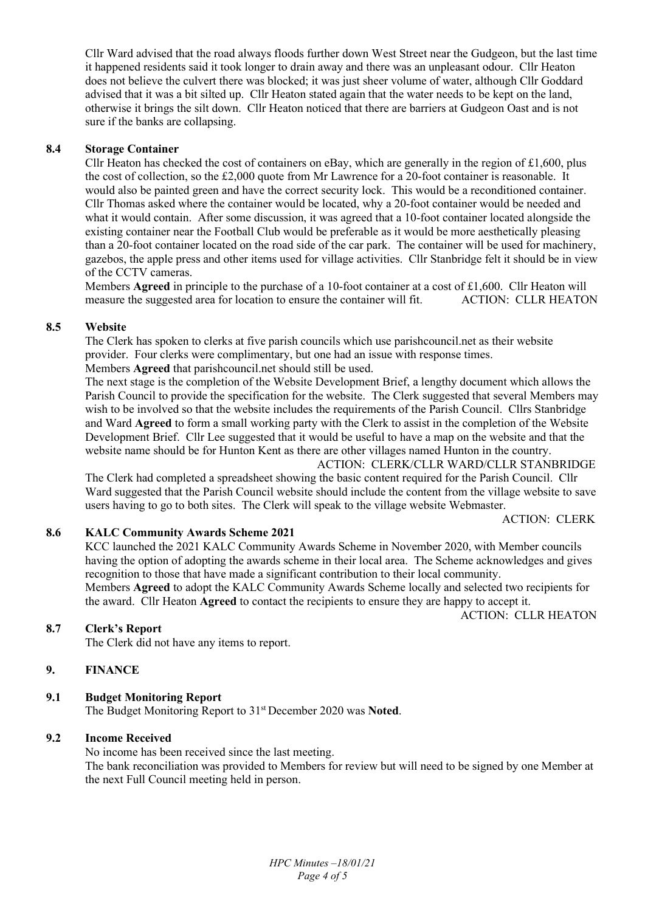Cllr Ward advised that the road always floods further down West Street near the Gudgeon, but the last time it happened residents said it took longer to drain away and there was an unpleasant odour. Cllr Heaton does not believe the culvert there was blocked; it was just sheer volume of water, although Cllr Goddard advised that it was a bit silted up. Cllr Heaton stated again that the water needs to be kept on the land, otherwise it brings the silt down. Cllr Heaton noticed that there are barriers at Gudgeon Oast and is not sure if the banks are collapsing.

## **8.4 Storage Container**

Cllr Heaton has checked the cost of containers on eBay, which are generally in the region of £1,600, plus the cost of collection, so the £2,000 quote from Mr Lawrence for a 20-foot container is reasonable. It would also be painted green and have the correct security lock. This would be a reconditioned container. Cllr Thomas asked where the container would be located, why a 20-foot container would be needed and what it would contain. After some discussion, it was agreed that a 10-foot container located alongside the existing container near the Football Club would be preferable as it would be more aesthetically pleasing than a 20-foot container located on the road side of the car park. The container will be used for machinery, gazebos, the apple press and other items used for village activities. Cllr Stanbridge felt it should be in view of the CCTV cameras.

Members **Agreed** in principle to the purchase of a 10-foot container at a cost of £1,600. Cllr Heaton will measure the suggested area for location to ensure the container will fit. ACTION: CLLR HEATON

# **8.5 Website**

The Clerk has spoken to clerks at five parish councils which use parishcouncil.net as their website provider. Four clerks were complimentary, but one had an issue with response times. Members **Agreed** that parishcouncil.net should still be used.

The next stage is the completion of the Website Development Brief, a lengthy document which allows the Parish Council to provide the specification for the website. The Clerk suggested that several Members may wish to be involved so that the website includes the requirements of the Parish Council. Cllrs Stanbridge and Ward **Agreed** to form a small working party with the Clerk to assist in the completion of the Website Development Brief. Cllr Lee suggested that it would be useful to have a map on the website and that the website name should be for Hunton Kent as there are other villages named Hunton in the country.

 ACTION: CLERK/CLLR WARD/CLLR STANBRIDGE The Clerk had completed a spreadsheet showing the basic content required for the Parish Council. Cllr Ward suggested that the Parish Council website should include the content from the village website to save users having to go to both sites. The Clerk will speak to the village website Webmaster.

ACTION: CLERK

# **8.6 KALC Community Awards Scheme 2021**

KCC launched the 2021 KALC Community Awards Scheme in November 2020, with Member councils having the option of adopting the awards scheme in their local area. The Scheme acknowledges and gives recognition to those that have made a significant contribution to their local community. Members **Agreed** to adopt the KALC Community Awards Scheme locally and selected two recipients for the award. Cllr Heaton **Agreed** to contact the recipients to ensure they are happy to accept it. ACTION: CLLR HEATON

**8.7 Clerk's Report** 

The Clerk did not have any items to report.

## **9. FINANCE**

# **9.1 Budget Monitoring Report**

The Budget Monitoring Report to 31st December 2020 was **Noted**.

### **9.2 Income Received**

No income has been received since the last meeting. The bank reconciliation was provided to Members for review but will need to be signed by one Member at the next Full Council meeting held in person.